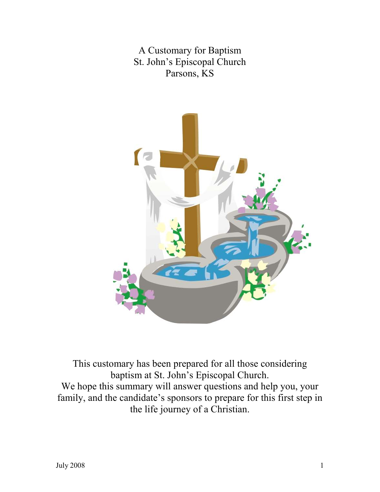A Customary for Baptism St. John's Episcopal Church Parsons, KS



This customary has been prepared for all those considering baptism at St. John's Episcopal Church. We hope this summary will answer questions and help you, your family, and the candidate's sponsors to prepare for this first step in the life journey of a Christian.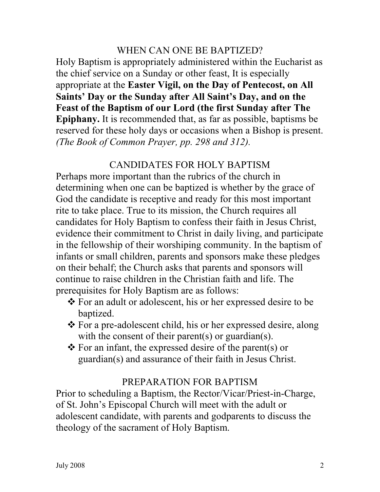## WHEN CAN ONE BE BAPTIZED?

Holy Baptism is appropriately administered within the Eucharist as the chief service on a Sunday or other feast, It is especially appropriate at the Easter Vigil, on the Day of Pentecost, on All Saints' Day or the Sunday after All Saint's Day, and on the Feast of the Baptism of our Lord (the first Sunday after The Epiphany. It is recommended that, as far as possible, baptisms be reserved for these holy days or occasions when a Bishop is present. (The Book of Common Prayer, pp. 298 and 312).

## CANDIDATES FOR HOLY BAPTISM

Perhaps more important than the rubrics of the church in determining when one can be baptized is whether by the grace of God the candidate is receptive and ready for this most important rite to take place. True to its mission, the Church requires all candidates for Holy Baptism to confess their faith in Jesus Christ, evidence their commitment to Christ in daily living, and participate in the fellowship of their worshiping community. In the baptism of infants or small children, parents and sponsors make these pledges on their behalf; the Church asks that parents and sponsors will continue to raise children in the Christian faith and life. The prerequisites for Holy Baptism are as follows:

- For an adult or adolescent, his or her expressed desire to be baptized.
- For a pre-adolescent child, his or her expressed desire, along with the consent of their parent(s) or guardian(s).
- $\triangle$  For an infant, the expressed desire of the parent(s) or guardian(s) and assurance of their faith in Jesus Christ.

### PREPARATION FOR BAPTISM

Prior to scheduling a Baptism, the Rector/Vicar/Priest-in-Charge, of St. John's Episcopal Church will meet with the adult or adolescent candidate, with parents and godparents to discuss the theology of the sacrament of Holy Baptism.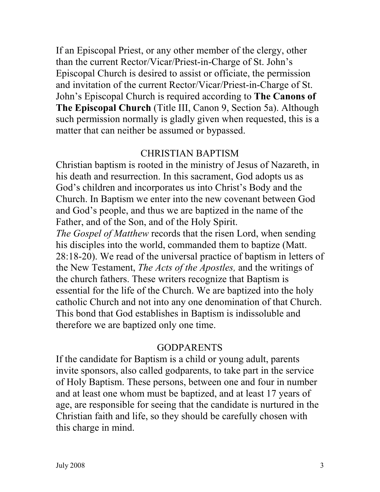If an Episcopal Priest, or any other member of the clergy, other than the current Rector/Vicar/Priest-in-Charge of St. John's Episcopal Church is desired to assist or officiate, the permission and invitation of the current Rector/Vicar/Priest-in-Charge of St. John's Episcopal Church is required according to The Canons of The Episcopal Church (Title III, Canon 9, Section 5a). Although such permission normally is gladly given when requested, this is a matter that can neither be assumed or bypassed.

#### CHRISTIAN BAPTISM

Christian baptism is rooted in the ministry of Jesus of Nazareth, in his death and resurrection. In this sacrament, God adopts us as God's children and incorporates us into Christ's Body and the Church. In Baptism we enter into the new covenant between God and God's people, and thus we are baptized in the name of the Father, and of the Son, and of the Holy Spirit.

The Gospel of Matthew records that the risen Lord, when sending his disciples into the world, commanded them to baptize (Matt. 28:18-20). We read of the universal practice of baptism in letters of the New Testament, The Acts of the Apostles, and the writings of the church fathers. These writers recognize that Baptism is essential for the life of the Church. We are baptized into the holy catholic Church and not into any one denomination of that Church. This bond that God establishes in Baptism is indissoluble and therefore we are baptized only one time.

## GODPARENTS

If the candidate for Baptism is a child or young adult, parents invite sponsors, also called godparents, to take part in the service of Holy Baptism. These persons, between one and four in number and at least one whom must be baptized, and at least 17 years of age, are responsible for seeing that the candidate is nurtured in the Christian faith and life, so they should be carefully chosen with this charge in mind.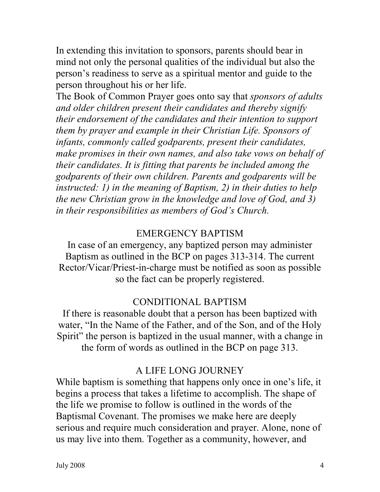In extending this invitation to sponsors, parents should bear in mind not only the personal qualities of the individual but also the person's readiness to serve as a spiritual mentor and guide to the person throughout his or her life.

The Book of Common Prayer goes onto say that *sponsors of adults* and older children present their candidates and thereby signify their endorsement of the candidates and their intention to support them by prayer and example in their Christian Life. Sponsors of infants, commonly called godparents, present their candidates, make promises in their own names, and also take vows on behalf of their candidates. It is fitting that parents be included among the godparents of their own children. Parents and godparents will be instructed: 1) in the meaning of Baptism, 2) in their duties to help the new Christian grow in the knowledge and love of God, and 3) in their responsibilities as members of God's Church.

# EMERGENCY BAPTISM

In case of an emergency, any baptized person may administer Baptism as outlined in the BCP on pages 313-314. The current Rector/Vicar/Priest-in-charge must be notified as soon as possible so the fact can be properly registered.

# CONDITIONAL BAPTISM

If there is reasonable doubt that a person has been baptized with water, "In the Name of the Father, and of the Son, and of the Holy Spirit" the person is baptized in the usual manner, with a change in the form of words as outlined in the BCP on page 313.

# A LIFE LONG JOURNEY

While baptism is something that happens only once in one's life, it begins a process that takes a lifetime to accomplish. The shape of the life we promise to follow is outlined in the words of the Baptismal Covenant. The promises we make here are deeply serious and require much consideration and prayer. Alone, none of us may live into them. Together as a community, however, and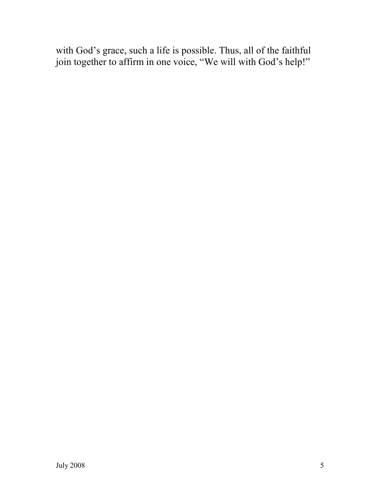with God's grace, such a life is possible. Thus, all of the faithful join together to affirm in one voice, "We will with God's help!"